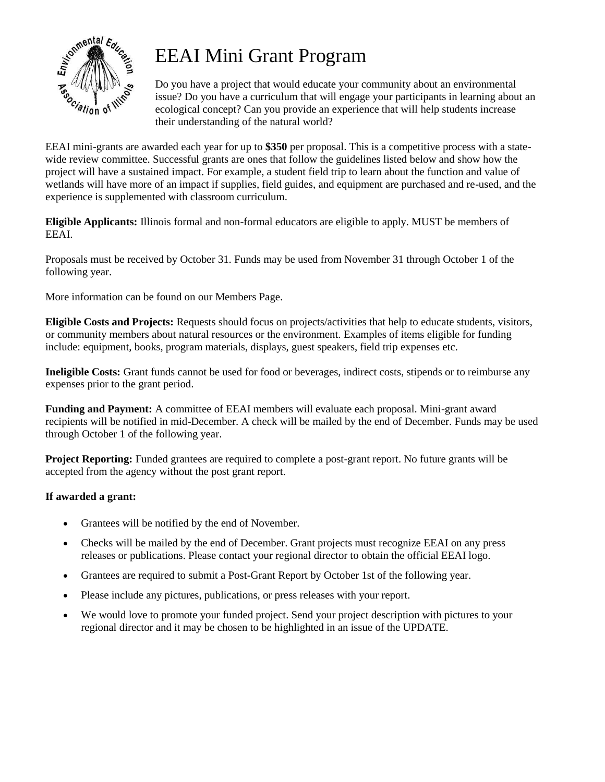

# EEAI Mini Grant Program

Do you have a project that would educate your community about an environmental issue? Do you have a curriculum that will engage your participants in learning about an ecological concept? Can you provide an experience that will help students increase their understanding of the natural world?

EEAI mini-grants are awarded each year for up to **\$350** per proposal. This is a competitive process with a statewide review committee. Successful grants are ones that follow the guidelines listed below and show how the project will have a sustained impact. For example, a student field trip to learn about the function and value of wetlands will have more of an impact if supplies, field guides, and equipment are purchased and re-used, and the experience is supplemented with classroom curriculum.

**Eligible Applicants:** Illinois formal and non-formal educators are eligible to apply. MUST be members of EEAI.

Proposals must be received by October 31. Funds may be used from November 31 through October 1 of the following year.

More information can be found on our Members Page.

**Eligible Costs and Projects:** Requests should focus on projects/activities that help to educate students, visitors, or community members about natural resources or the environment. Examples of items eligible for funding include: equipment, books, program materials, displays, guest speakers, field trip expenses etc.

**Ineligible Costs:** Grant funds cannot be used for food or beverages, indirect costs, stipends or to reimburse any expenses prior to the grant period.

**Funding and Payment:** A committee of EEAI members will evaluate each proposal. Mini-grant award recipients will be notified in mid-December. A check will be mailed by the end of December. Funds may be used through October 1 of the following year.

**Project Reporting:** Funded grantees are required to complete a post-grant report. No future grants will be accepted from the agency without the post grant report.

### **If awarded a grant:**

- Grantees will be notified by the end of November.
- Checks will be mailed by the end of December. Grant projects must recognize EEAI on any press releases or publications. Please contact your regional director to obtain the official EEAI logo.
- Grantees are required to submit a Post-Grant Report by October 1st of the following year.
- Please include any pictures, publications, or press releases with your report.
- We would love to promote your funded project. Send your project description with pictures to your regional director and it may be chosen to be highlighted in an issue of the UPDATE.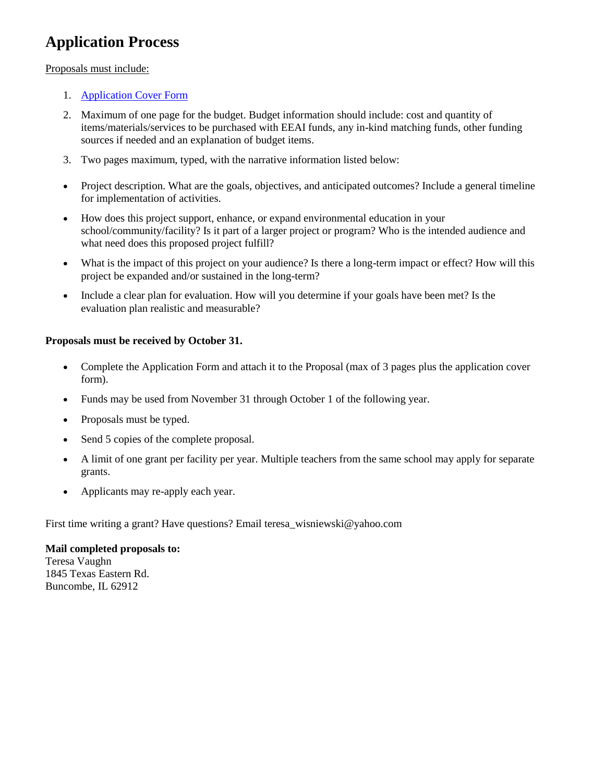### **Application Process**

#### Proposals must include:

- 1. [Application Cover Form](http://weebly-file/1/7/6/4/17642065/mini-grant_application_form.docx)
- 2. Maximum of one page for the budget. Budget information should include: cost and quantity of items/materials/services to be purchased with EEAI funds, any in-kind matching funds, other funding sources if needed and an explanation of budget items.
- 3. Two pages maximum, typed, with the narrative information listed below:
- Project description. What are the goals, objectives, and anticipated outcomes? Include a general timeline for implementation of activities.
- How does this project support, enhance, or expand environmental education in your school/community/facility? Is it part of a larger project or program? Who is the intended audience and what need does this proposed project fulfill?
- What is the impact of this project on your audience? Is there a long-term impact or effect? How will this project be expanded and/or sustained in the long-term?
- Include a clear plan for evaluation. How will you determine if your goals have been met? Is the evaluation plan realistic and measurable?

#### **Proposals must be received by October 31.**

- Complete the Application Form and attach it to the Proposal (max of 3 pages plus the application cover form).
- Funds may be used from November 31 through October 1 of the following year.
- Proposals must be typed.
- Send 5 copies of the complete proposal.
- A limit of one grant per facility per year. Multiple teachers from the same school may apply for separate grants.
- Applicants may re-apply each year.

First time writing a grant? Have questions? Email teresa\_wisniewski@yahoo.com

#### **Mail completed proposals to:**

Teresa Vaughn 1845 Texas Eastern Rd. Buncombe, IL 62912